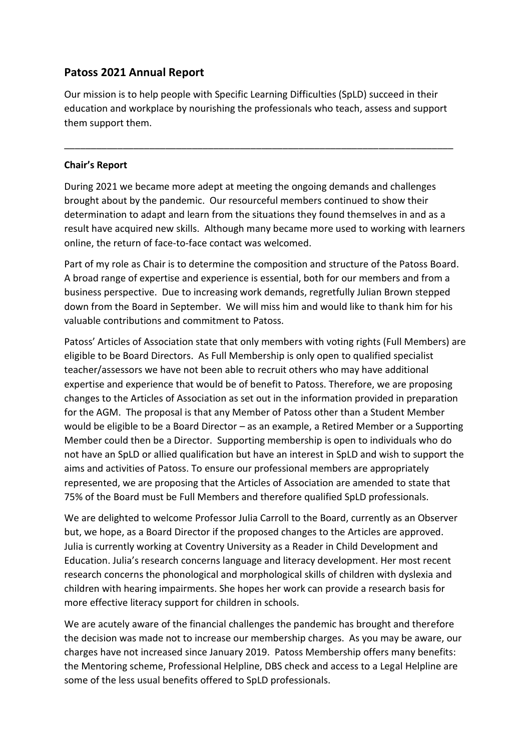# **Patoss 2021 Annual Report**

Our mission is to help people with Specific Learning Difficulties (SpLD) succeed in their education and workplace by nourishing the professionals who teach, assess and support them support them.

\_\_\_\_\_\_\_\_\_\_\_\_\_\_\_\_\_\_\_\_\_\_\_\_\_\_\_\_\_\_\_\_\_\_\_\_\_\_\_\_\_\_\_\_\_\_\_\_\_\_\_\_\_\_\_\_\_\_\_\_\_\_\_\_\_\_\_\_\_\_\_\_\_

### **Chair's Report**

During 2021 we became more adept at meeting the ongoing demands and challenges brought about by the pandemic. Our resourceful members continued to show their determination to adapt and learn from the situations they found themselves in and as a result have acquired new skills. Although many became more used to working with learners online, the return of face-to-face contact was welcomed.

Part of my role as Chair is to determine the composition and structure of the Patoss Board. A broad range of expertise and experience is essential, both for our members and from a business perspective. Due to increasing work demands, regretfully Julian Brown stepped down from the Board in September. We will miss him and would like to thank him for his valuable contributions and commitment to Patoss.

Patoss' Articles of Association state that only members with voting rights (Full Members) are eligible to be Board Directors. As Full Membership is only open to qualified specialist teacher/assessors we have not been able to recruit others who may have additional expertise and experience that would be of benefit to Patoss. Therefore, we are proposing changes to the Articles of Association as set out in the information provided in preparation for the AGM. The proposal is that any Member of Patoss other than a Student Member would be eligible to be a Board Director – as an example, a Retired Member or a Supporting Member could then be a Director. Supporting membership is open to individuals who do not have an SpLD or allied qualification but have an interest in SpLD and wish to support the aims and activities of Patoss. To ensure our professional members are appropriately represented, we are proposing that the Articles of Association are amended to state that 75% of the Board must be Full Members and therefore qualified SpLD professionals.

We are delighted to welcome Professor Julia Carroll to the Board, currently as an Observer but, we hope, as a Board Director if the proposed changes to the Articles are approved. Julia is currently working at Coventry University as a Reader in Child Development and Education. Julia's research concerns language and literacy development. Her most recent research concerns the phonological and morphological skills of children with dyslexia and children with hearing impairments. She hopes her work can provide a research basis for more effective literacy support for children in schools.

We are acutely aware of the financial challenges the pandemic has brought and therefore the decision was made not to increase our membership charges. As you may be aware, our charges have not increased since January 2019. Patoss Membership offers many benefits: the Mentoring scheme, Professional Helpline, DBS check and access to a Legal Helpline are some of the less usual benefits offered to SpLD professionals.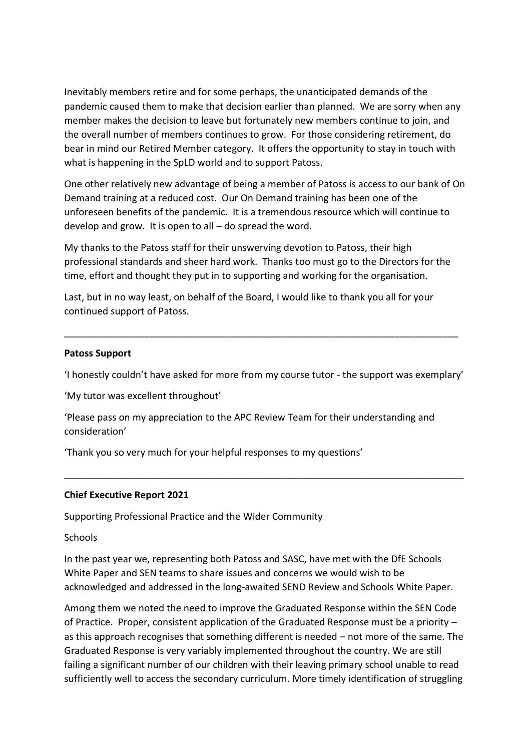Inevitably members retire and for some perhaps, the unanticipated demands of the pandemic caused them to make that decision earlier than planned. We are sorry when any member makes the decision to leave but fortunately new members continue to join, and the overall number of members continues to grow. For those considering retirement, do bear in mind our Retired Member category. It offers the opportunity to stay in touch with what is happening in the SpLD world and to support Patoss.

One other relatively new advantage of being a member of Patoss is access to our bank of On Demand training at a reduced cost. Our On Demand training has been one of the unforeseen benefits of the pandemic. It is a tremendous resource which will continue to develop and grow. It is open to all – do spread the word.

My thanks to the Patoss staff for their unswerving devotion to Patoss, their high professional standards and sheer hard work. Thanks too must go to the Directors for the time, effort and thought they put in to supporting and working for the organisation.

Last, but in no way least, on behalf of the Board, I would like to thank you all for your continued support of Patoss.

#### **Patoss Support**

'I honestly couldn't have asked for more from my course tutor - the support was exemplary'

\_\_\_\_\_\_\_\_\_\_\_\_\_\_\_\_\_\_\_\_\_\_\_\_\_\_\_\_\_\_\_\_\_\_\_\_\_\_\_\_\_\_\_\_\_\_\_\_\_\_\_\_\_\_\_\_\_\_\_\_\_\_\_\_\_\_\_\_\_\_\_\_\_\_\_

\_\_\_\_\_\_\_\_\_\_\_\_\_\_\_\_\_\_\_\_\_\_\_\_\_\_\_\_\_\_\_\_\_\_\_\_\_\_\_\_\_\_\_\_\_\_\_\_\_\_\_\_\_\_\_\_\_\_\_\_\_\_\_\_\_\_\_\_\_\_\_\_\_\_

'My tutor was excellent throughout'

'Please pass on my appreciation to the APC Review Team for their understanding and consideration'

'Thank you so very much for your helpful responses to my questions'

#### **Chief Executive Report 2021**

Supporting Professional Practice and the Wider Community

**Schools** 

In the past year we, representing both Patoss and SASC, have met with the DfE Schools White Paper and SEN teams to share issues and concerns we would wish to be acknowledged and addressed in the long-awaited SEND Review and Schools White Paper.

Among them we noted the need to improve the Graduated Response within the SEN Code of Practice. Proper, consistent application of the Graduated Response must be a priority – as this approach recognises that something different is needed – not more of the same. The Graduated Response is very variably implemented throughout the country. We are still failing a significant number of our children with their leaving primary school unable to read sufficiently well to access the secondary curriculum. More timely identification of struggling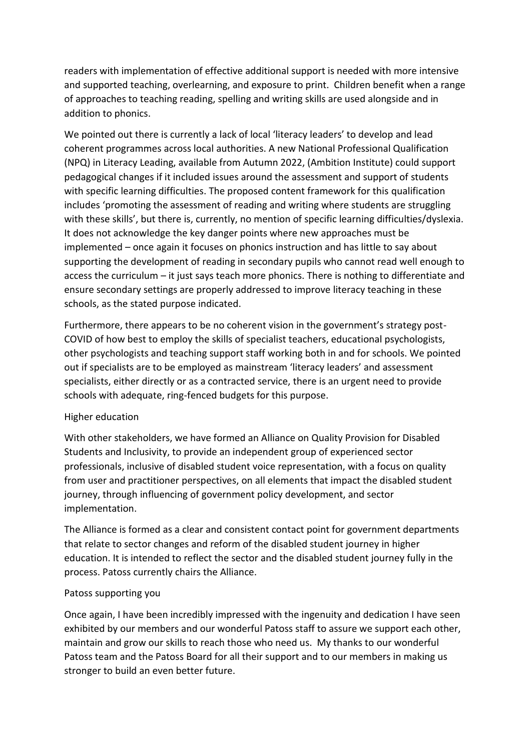readers with implementation of effective additional support is needed with more intensive and supported teaching, overlearning, and exposure to print. Children benefit when a range of approaches to teaching reading, spelling and writing skills are used alongside and in addition to phonics.

We pointed out there is currently a lack of local 'literacy leaders' to develop and lead coherent programmes across local authorities. A new National Professional Qualification (NPQ) in Literacy Leading, available from Autumn 2022, (Ambition Institute) could support pedagogical changes if it included issues around the assessment and support of students with specific learning difficulties. The proposed content framework for this qualification includes 'promoting the assessment of reading and writing where students are struggling with these skills', but there is, currently, no mention of specific learning difficulties/dyslexia. It does not acknowledge the key danger points where new approaches must be implemented – once again it focuses on phonics instruction and has little to say about supporting the development of reading in secondary pupils who cannot read well enough to access the curriculum – it just says teach more phonics. There is nothing to differentiate and ensure secondary settings are properly addressed to improve literacy teaching in these schools, as the stated purpose indicated.

Furthermore, there appears to be no coherent vision in the government's strategy post-COVID of how best to employ the skills of specialist teachers, educational psychologists, other psychologists and teaching support staff working both in and for schools. We pointed out if specialists are to be employed as mainstream 'literacy leaders' and assessment specialists, either directly or as a contracted service, there is an urgent need to provide schools with adequate, ring-fenced budgets for this purpose.

## Higher education

With other stakeholders, we have formed an Alliance on Quality Provision for Disabled Students and Inclusivity, to provide an independent group of experienced sector professionals, inclusive of disabled student voice representation, with a focus on quality from user and practitioner perspectives, on all elements that impact the disabled student journey, through influencing of government policy development, and sector implementation.

The Alliance is formed as a clear and consistent contact point for government departments that relate to sector changes and reform of the disabled student journey in higher education. It is intended to reflect the sector and the disabled student journey fully in the process. Patoss currently chairs the Alliance.

## Patoss supporting you

Once again, I have been incredibly impressed with the ingenuity and dedication I have seen exhibited by our members and our wonderful Patoss staff to assure we support each other, maintain and grow our skills to reach those who need us. My thanks to our wonderful Patoss team and the Patoss Board for all their support and to our members in making us stronger to build an even better future.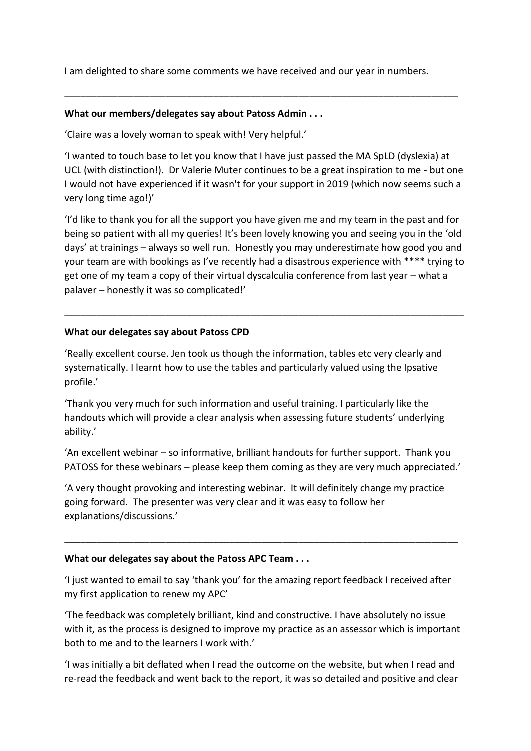I am delighted to share some comments we have received and our year in numbers.

\_\_\_\_\_\_\_\_\_\_\_\_\_\_\_\_\_\_\_\_\_\_\_\_\_\_\_\_\_\_\_\_\_\_\_\_\_\_\_\_\_\_\_\_\_\_\_\_\_\_\_\_\_\_\_\_\_\_\_\_\_\_\_\_\_\_\_\_\_\_\_\_\_\_

#### **What our members/delegates say about Patoss Admin . . .**

'Claire was a lovely woman to speak with! Very helpful.'

'I wanted to touch base to let you know that I have just passed the MA SpLD (dyslexia) at UCL (with distinction!). Dr Valerie Muter continues to be a great inspiration to me - but one I would not have experienced if it wasn't for your support in 2019 (which now seems such a very long time ago!)'

'I'd like to thank you for all the support you have given me and my team in the past and for being so patient with all my queries! It's been lovely knowing you and seeing you in the 'old days' at trainings – always so well run. Honestly you may underestimate how good you and your team are with bookings as I've recently had a disastrous experience with \*\*\*\* trying to get one of my team a copy of their virtual dyscalculia conference from last year – what a palaver – honestly it was so complicated!'

\_\_\_\_\_\_\_\_\_\_\_\_\_\_\_\_\_\_\_\_\_\_\_\_\_\_\_\_\_\_\_\_\_\_\_\_\_\_\_\_\_\_\_\_\_\_\_\_\_\_\_\_\_\_\_\_\_\_\_\_\_\_\_\_\_\_\_\_\_\_\_\_\_\_\_

### **What our delegates say about Patoss CPD**

'Really excellent course. Jen took us though the information, tables etc very clearly and systematically. I learnt how to use the tables and particularly valued using the Ipsative profile.'

'Thank you very much for such information and useful training. I particularly like the handouts which will provide a clear analysis when assessing future students' underlying ability.'

'An excellent webinar – so informative, brilliant handouts for further support. Thank you PATOSS for these webinars – please keep them coming as they are very much appreciated.'

'A very thought provoking and interesting webinar. It will definitely change my practice going forward. The presenter was very clear and it was easy to follow her explanations/discussions.'

#### **What our delegates say about the Patoss APC Team . . .**

'I just wanted to email to say 'thank you' for the amazing report feedback I received after my first application to renew my APC'

\_\_\_\_\_\_\_\_\_\_\_\_\_\_\_\_\_\_\_\_\_\_\_\_\_\_\_\_\_\_\_\_\_\_\_\_\_\_\_\_\_\_\_\_\_\_\_\_\_\_\_\_\_\_\_\_\_\_\_\_\_\_\_\_\_\_\_\_\_\_\_\_\_\_

'The feedback was completely brilliant, kind and constructive. I have absolutely no issue with it, as the process is designed to improve my practice as an assessor which is important both to me and to the learners I work with.'

'I was initially a bit deflated when I read the outcome on the website, but when I read and re-read the feedback and went back to the report, it was so detailed and positive and clear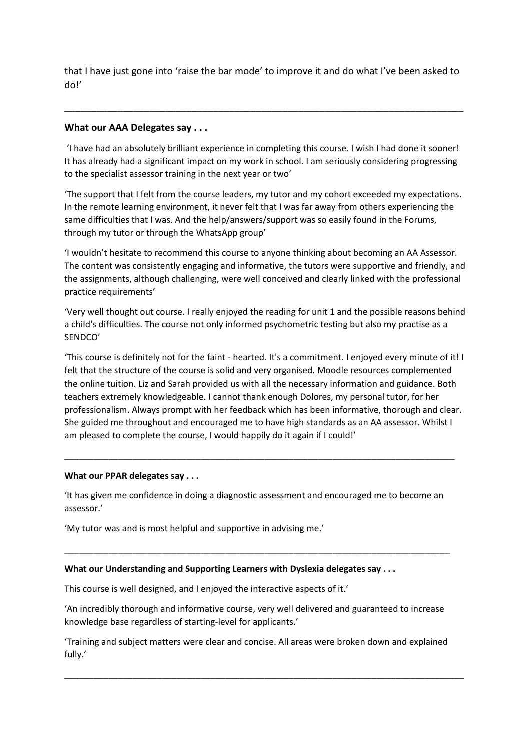that I have just gone into 'raise the bar mode' to improve it and do what I've been asked to do!'

\_\_\_\_\_\_\_\_\_\_\_\_\_\_\_\_\_\_\_\_\_\_\_\_\_\_\_\_\_\_\_\_\_\_\_\_\_\_\_\_\_\_\_\_\_\_\_\_\_\_\_\_\_\_\_\_\_\_\_\_\_\_\_\_\_\_\_\_\_\_\_\_\_\_\_

#### **What our AAA Delegates say . . .**

'I have had an absolutely brilliant experience in completing this course. I wish I had done it sooner! It has already had a significant impact on my work in school. I am seriously considering progressing to the specialist assessor training in the next year or two'

'The support that I felt from the course leaders, my tutor and my cohort exceeded my expectations. In the remote learning environment, it never felt that I was far away from others experiencing the same difficulties that I was. And the help/answers/support was so easily found in the Forums, through my tutor or through the WhatsApp group'

'I wouldn't hesitate to recommend this course to anyone thinking about becoming an AA Assessor. The content was consistently engaging and informative, the tutors were supportive and friendly, and the assignments, although challenging, were well conceived and clearly linked with the professional practice requirements'

'Very well thought out course. I really enjoyed the reading for unit 1 and the possible reasons behind a child's difficulties. The course not only informed psychometric testing but also my practise as a SENDCO'

'This course is definitely not for the faint - hearted. It's a commitment. I enjoyed every minute of it! I felt that the structure of the course is solid and very organised. Moodle resources complemented the online tuition. Liz and Sarah provided us with all the necessary information and guidance. Both teachers extremely knowledgeable. I cannot thank enough Dolores, my personal tutor, for her professionalism. Always prompt with her feedback which has been informative, thorough and clear. She guided me throughout and encouraged me to have high standards as an AA assessor. Whilst I am pleased to complete the course, I would happily do it again if I could!'

#### **What our PPAR delegates say . . .**

'It has given me confidence in doing a diagnostic assessment and encouraged me to become an assessor.'

\_\_\_\_\_\_\_\_\_\_\_\_\_\_\_\_\_\_\_\_\_\_\_\_\_\_\_\_\_\_\_\_\_\_\_\_\_\_\_\_\_\_\_\_\_\_\_\_\_\_\_\_\_\_\_\_\_\_\_\_\_\_\_\_\_\_\_\_\_\_\_\_\_\_\_\_\_\_\_

\_\_\_\_\_\_\_\_\_\_\_\_\_\_\_\_\_\_\_\_\_\_\_\_\_\_\_\_\_\_\_\_\_\_\_\_\_\_\_\_\_\_\_\_\_\_\_\_\_\_\_\_\_\_\_\_\_\_\_\_\_\_\_\_\_\_\_\_\_\_\_\_\_\_\_\_\_\_\_\_

'My tutor was and is most helpful and supportive in advising me.'

#### **What our Understanding and Supporting Learners with Dyslexia delegates say . . .**

This course is well designed, and I enjoyed the interactive aspects of it.'

'An incredibly thorough and informative course, very well delivered and guaranteed to increase knowledge base regardless of starting-level for applicants.'

'Training and subject matters were clear and concise. All areas were broken down and explained fully.'

\_\_\_\_\_\_\_\_\_\_\_\_\_\_\_\_\_\_\_\_\_\_\_\_\_\_\_\_\_\_\_\_\_\_\_\_\_\_\_\_\_\_\_\_\_\_\_\_\_\_\_\_\_\_\_\_\_\_\_\_\_\_\_\_\_\_\_\_\_\_\_\_\_\_\_\_\_\_\_\_\_\_